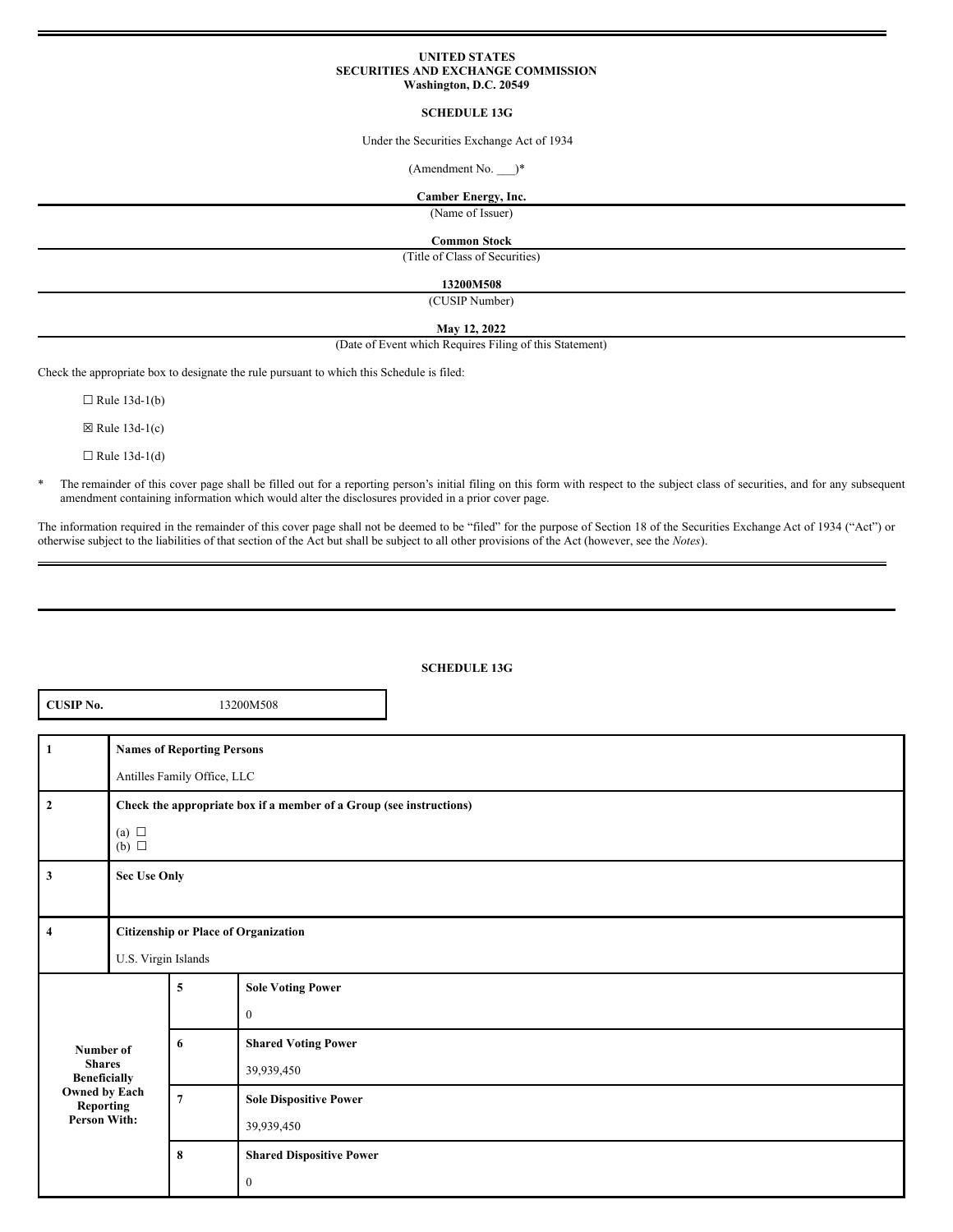#### **UNITED STATES SECURITIES AND EXCHANGE COMMISSION Washington, D.C. 20549**

# **SCHEDULE 13G**

Under the Securities Exchange Act of 1934

 $(Amendment No.$ <sup>\*</sup>

# **Camber Energy, Inc.**

(Name of Issuer)

#### **Common Stock**

(Title of Class of Securities)

### **13200M508** (CUSIP Number)

**May 12, 2022**

(Date of Event which Requires Filing of this Statement)

Check the appropriate box to designate the rule pursuant to which this Schedule is filed:

 $\Box$  Rule 13d-1(b)

 $\boxtimes$  Rule 13d-1(c)

 $\Box$  Rule 13d-1(d)

\* The remainder of this cover page shall be filled out for a reporting person's initial filing on this form with respect to the subject class of securities, and for any subsequent amendment containing information which would alter the disclosures provided in a prior cover page.

The information required in the remainder of this cover page shall not be deemed to be "filed" for the purpose of Section 18 of the Securities Exchange Act of 1934 ("Act") or otherwise subject to the liabilities of that section of the Act but shall be subject to all other provisions of the Act (however, see the *Notes*).

| <b>CUSIP No.</b><br>13200M508                                                                                 |                                                                     |                |                                 |  |
|---------------------------------------------------------------------------------------------------------------|---------------------------------------------------------------------|----------------|---------------------------------|--|
| $\vert$ 1                                                                                                     | <b>Names of Reporting Persons</b><br>Antilles Family Office, LLC    |                |                                 |  |
| $\mathbf 2$                                                                                                   | Check the appropriate box if a member of a Group (see instructions) |                |                                 |  |
|                                                                                                               | (a) $\Box$<br>$(b)$ $\square$                                       |                |                                 |  |
| $\mathbf{3}$                                                                                                  | <b>Sec Use Only</b>                                                 |                |                                 |  |
| $\overline{4}$                                                                                                | <b>Citizenship or Place of Organization</b>                         |                |                                 |  |
|                                                                                                               | U.S. Virgin Islands                                                 |                |                                 |  |
| Number of<br><b>Shares</b><br><b>Beneficially</b><br>Owned by Each<br><b>Reporting</b><br><b>Person With:</b> |                                                                     | 5              | <b>Sole Voting Power</b>        |  |
|                                                                                                               |                                                                     |                | $\mathbf{0}$                    |  |
|                                                                                                               |                                                                     | 6              | <b>Shared Voting Power</b>      |  |
|                                                                                                               |                                                                     |                | 39,939,450                      |  |
|                                                                                                               |                                                                     | $\overline{7}$ | <b>Sole Dispositive Power</b>   |  |
|                                                                                                               |                                                                     |                | 39,939,450                      |  |
|                                                                                                               |                                                                     | 8              | <b>Shared Dispositive Power</b> |  |
|                                                                                                               |                                                                     |                | $\bf{0}$                        |  |

# **SCHEDULE 13G**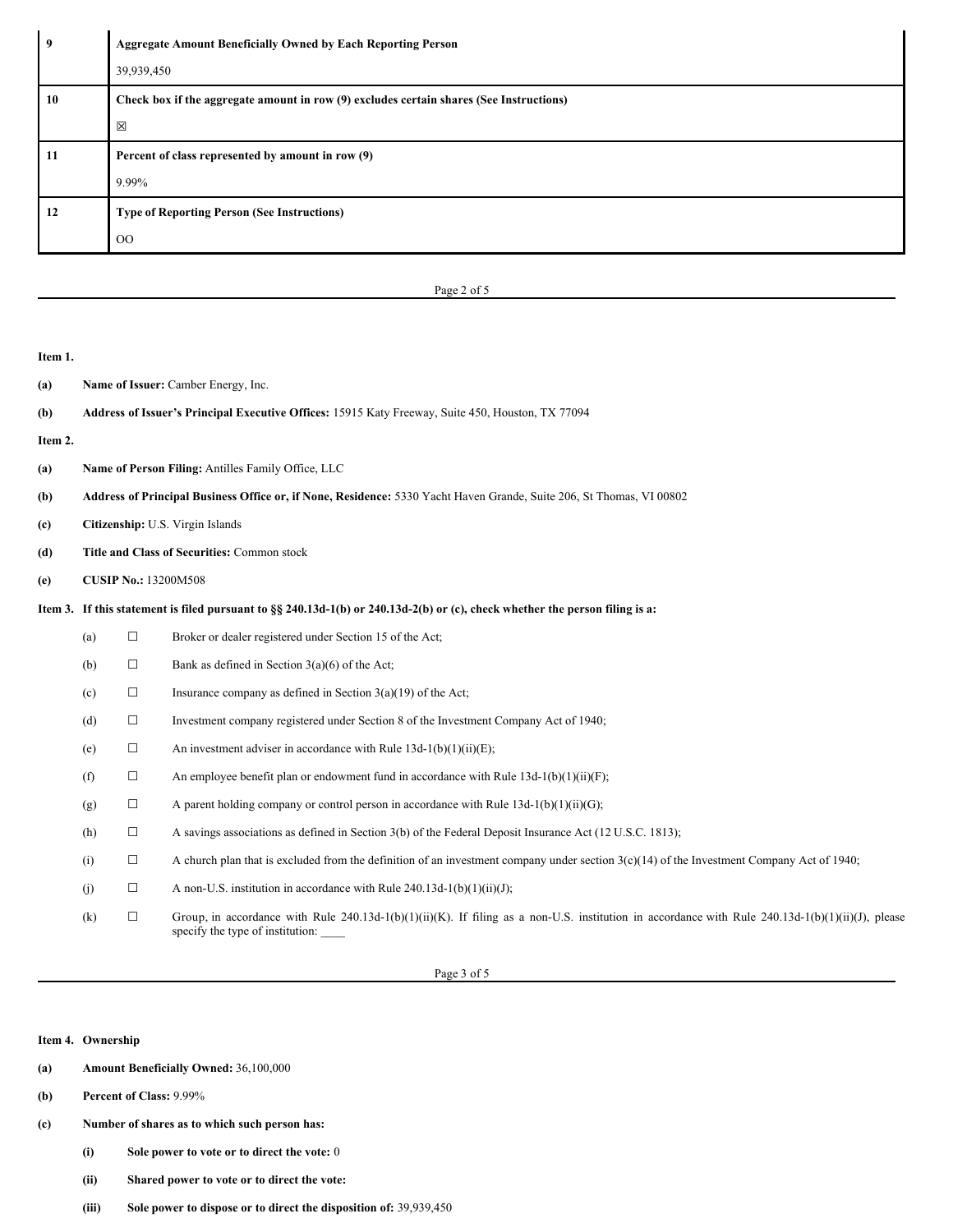| 9  | <b>Aggregate Amount Beneficially Owned by Each Reporting Person</b>                     |  |  |
|----|-----------------------------------------------------------------------------------------|--|--|
|    | 39,939,450                                                                              |  |  |
| 10 | Check box if the aggregate amount in row (9) excludes certain shares (See Instructions) |  |  |
|    | $\boxtimes$                                                                             |  |  |
| 11 | Percent of class represented by amount in row (9)                                       |  |  |
|    | 9.99%                                                                                   |  |  |
| 12 | <b>Type of Reporting Person (See Instructions)</b>                                      |  |  |
|    | $_{\rm OO}$                                                                             |  |  |

Page 2 of 5

### **Item 1.**

- **(a) Name of Issuer:** Camber Energy, Inc.
- **(b) Address of Issuer's Principal Executive Offices:** 15915 Katy Freeway, Suite 450, Houston, TX 77094

**Item 2.**

- **(a) Name of Person Filing:** Antilles Family Office, LLC
- **(b) Address of Principal Business Office or, if None, Residence:** 5330 Yacht Haven Grande, Suite 206, St Thomas, VI 00802
- **(c) Citizenship:** U.S. Virgin Islands
- **(d) Title and Class of Securities:** Common stock
- **(e) CUSIP No.:** 13200M508

# Item 3. If this statement is filed pursuant to §§ 240.13d-1(b) or 240.13d-2(b) or (c), check whether the person filing is a:

(a)  $\Box$  Broker or dealer registered under Section 15 of the Act; (b)  $\Box$  Bank as defined in Section 3(a)(6) of the Act; (c)  $\Box$  Insurance company as defined in Section 3(a)(19) of the Act; (d) ☐ Investment company registered under Section 8 of the Investment Company Act of 1940; (e)  $\Box$  An investment adviser in accordance with Rule 13d-1(b)(1)(ii)(E); (f)  $\Box$  An employee benefit plan or endowment fund in accordance with Rule 13d-1(b)(1)(ii)(F); (g)  $\Box$  A parent holding company or control person in accordance with Rule 13d-1(b)(1)(ii)(G); (h) ☐ A savings associations as defined in Section 3(b) of the Federal Deposit Insurance Act (12 U.S.C. 1813); (i)  $\Box$  A church plan that is excluded from the definition of an investment company under section 3(c)(14) of the Investment Company Act of 1940; (j)  $\Box$  A non-U.S. institution in accordance with Rule 240.13d-1(b)(1)(ii)(J); (k)  $\Box$  Group, in accordance with Rule 240.13d-1(b)(1)(ii)(K). If filing as a non-U.S. institution in accordance with Rule 240.13d-1(b)(1)(ii)(J), please specify the type of institution:

Page 3 of 5

**Item 4. Ownership**

- **(a) Amount Beneficially Owned:** 36,100,000
- **(b) Percent of Class:** 9.99%
- **(c) Number of shares as to which such person has:**
	- **(i) Sole power to vote or to direct the vote:** 0
	- **(ii) Shared power to vote or to direct the vote:**
	- **(iii) Sole power to dispose or to direct the disposition of:** 39,939,450